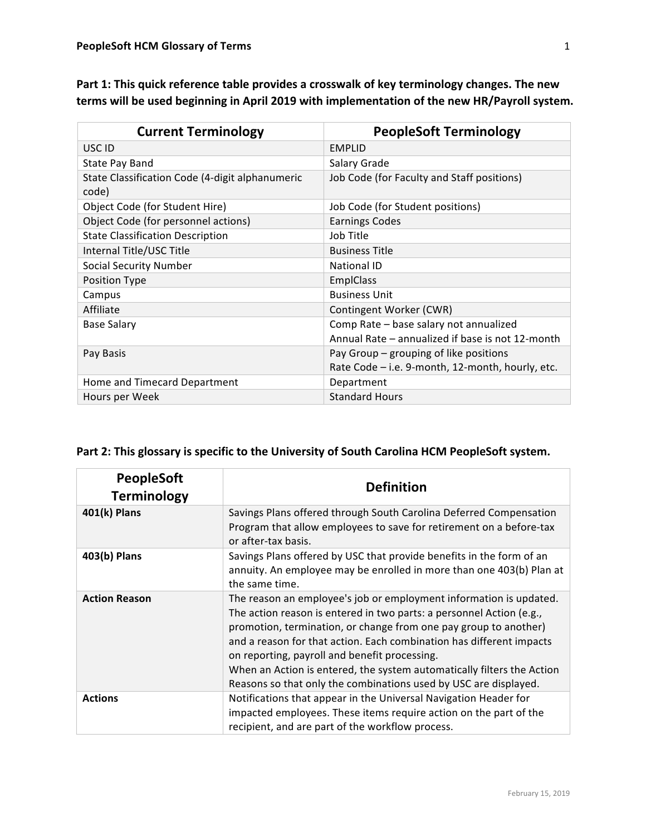| <b>Current Terminology</b>                               | <b>PeopleSoft Terminology</b>                    |
|----------------------------------------------------------|--------------------------------------------------|
| USC ID                                                   | <b>EMPLID</b>                                    |
| State Pay Band                                           | Salary Grade                                     |
| State Classification Code (4-digit alphanumeric<br>code) | Job Code (for Faculty and Staff positions)       |
| Object Code (for Student Hire)                           | Job Code (for Student positions)                 |
| Object Code (for personnel actions)                      | <b>Earnings Codes</b>                            |
| <b>State Classification Description</b>                  | Job Title                                        |
| Internal Title/USC Title                                 | <b>Business Title</b>                            |
| <b>Social Security Number</b>                            | <b>National ID</b>                               |
| Position Type                                            | <b>EmplClass</b>                                 |
| Campus                                                   | <b>Business Unit</b>                             |
| Affiliate                                                | Contingent Worker (CWR)                          |
| <b>Base Salary</b>                                       | Comp Rate - base salary not annualized           |
|                                                          | Annual Rate – annualized if base is not 12-month |
| Pay Basis                                                | Pay Group – grouping of like positions           |
|                                                          | Rate Code - i.e. 9-month, 12-month, hourly, etc. |
| Home and Timecard Department                             | Department                                       |
| Hours per Week                                           | <b>Standard Hours</b>                            |

Part 1: This quick reference table provides a crosswalk of key terminology changes. The new terms will be used beginning in April 2019 with implementation of the new HR/Payroll system.

| Part 2: This glossary is specific to the University of South Carolina HCM PeopleSoft system. |
|----------------------------------------------------------------------------------------------|
|                                                                                              |

| <b>PeopleSoft</b><br><b>Terminology</b> | <b>Definition</b>                                                                                                                                                                                                                                                                                                                                                                                                                                                                     |
|-----------------------------------------|---------------------------------------------------------------------------------------------------------------------------------------------------------------------------------------------------------------------------------------------------------------------------------------------------------------------------------------------------------------------------------------------------------------------------------------------------------------------------------------|
| 401(k) Plans                            | Savings Plans offered through South Carolina Deferred Compensation<br>Program that allow employees to save for retirement on a before-tax<br>or after-tax basis.                                                                                                                                                                                                                                                                                                                      |
| 403(b) Plans                            | Savings Plans offered by USC that provide benefits in the form of an<br>annuity. An employee may be enrolled in more than one 403(b) Plan at<br>the same time.                                                                                                                                                                                                                                                                                                                        |
| <b>Action Reason</b>                    | The reason an employee's job or employment information is updated.<br>The action reason is entered in two parts: a personnel Action (e.g.,<br>promotion, termination, or change from one pay group to another)<br>and a reason for that action. Each combination has different impacts<br>on reporting, payroll and benefit processing.<br>When an Action is entered, the system automatically filters the Action<br>Reasons so that only the combinations used by USC are displayed. |
| <b>Actions</b>                          | Notifications that appear in the Universal Navigation Header for<br>impacted employees. These items require action on the part of the<br>recipient, and are part of the workflow process.                                                                                                                                                                                                                                                                                             |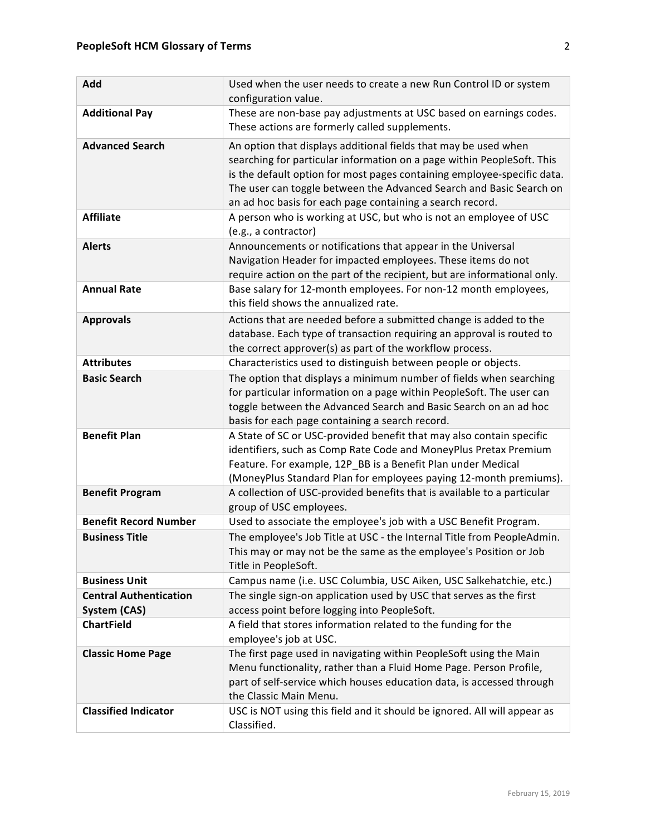| Add                                           | Used when the user needs to create a new Run Control ID or system<br>configuration value.                                                                                                                                                                                                                                                                |
|-----------------------------------------------|----------------------------------------------------------------------------------------------------------------------------------------------------------------------------------------------------------------------------------------------------------------------------------------------------------------------------------------------------------|
| <b>Additional Pay</b>                         | These are non-base pay adjustments at USC based on earnings codes.<br>These actions are formerly called supplements.                                                                                                                                                                                                                                     |
| <b>Advanced Search</b>                        | An option that displays additional fields that may be used when<br>searching for particular information on a page within PeopleSoft. This<br>is the default option for most pages containing employee-specific data.<br>The user can toggle between the Advanced Search and Basic Search on<br>an ad hoc basis for each page containing a search record. |
| <b>Affiliate</b>                              | A person who is working at USC, but who is not an employee of USC<br>(e.g., a contractor)                                                                                                                                                                                                                                                                |
| <b>Alerts</b>                                 | Announcements or notifications that appear in the Universal<br>Navigation Header for impacted employees. These items do not<br>require action on the part of the recipient, but are informational only.                                                                                                                                                  |
| <b>Annual Rate</b>                            | Base salary for 12-month employees. For non-12 month employees,<br>this field shows the annualized rate.                                                                                                                                                                                                                                                 |
| <b>Approvals</b>                              | Actions that are needed before a submitted change is added to the<br>database. Each type of transaction requiring an approval is routed to<br>the correct approver(s) as part of the workflow process.                                                                                                                                                   |
| <b>Attributes</b>                             | Characteristics used to distinguish between people or objects.                                                                                                                                                                                                                                                                                           |
| <b>Basic Search</b>                           | The option that displays a minimum number of fields when searching<br>for particular information on a page within PeopleSoft. The user can<br>toggle between the Advanced Search and Basic Search on an ad hoc<br>basis for each page containing a search record.                                                                                        |
| <b>Benefit Plan</b>                           | A State of SC or USC-provided benefit that may also contain specific<br>identifiers, such as Comp Rate Code and MoneyPlus Pretax Premium<br>Feature. For example, 12P_BB is a Benefit Plan under Medical<br>(MoneyPlus Standard Plan for employees paying 12-month premiums).                                                                            |
| <b>Benefit Program</b>                        | A collection of USC-provided benefits that is available to a particular<br>group of USC employees.                                                                                                                                                                                                                                                       |
| <b>Benefit Record Number</b>                  | Used to associate the employee's job with a USC Benefit Program.                                                                                                                                                                                                                                                                                         |
| <b>Business Title</b>                         | The employee's Job Title at USC - the Internal Title from PeopleAdmin.<br>This may or may not be the same as the employee's Position or Job<br>Title in PeopleSoft.                                                                                                                                                                                      |
| <b>Business Unit</b>                          | Campus name (i.e. USC Columbia, USC Aiken, USC Salkehatchie, etc.)                                                                                                                                                                                                                                                                                       |
| <b>Central Authentication</b><br>System (CAS) | The single sign-on application used by USC that serves as the first<br>access point before logging into PeopleSoft.                                                                                                                                                                                                                                      |
| <b>ChartField</b>                             | A field that stores information related to the funding for the<br>employee's job at USC.                                                                                                                                                                                                                                                                 |
| <b>Classic Home Page</b>                      | The first page used in navigating within PeopleSoft using the Main<br>Menu functionality, rather than a Fluid Home Page. Person Profile,<br>part of self-service which houses education data, is accessed through<br>the Classic Main Menu.                                                                                                              |
| <b>Classified Indicator</b>                   | USC is NOT using this field and it should be ignored. All will appear as<br>Classified.                                                                                                                                                                                                                                                                  |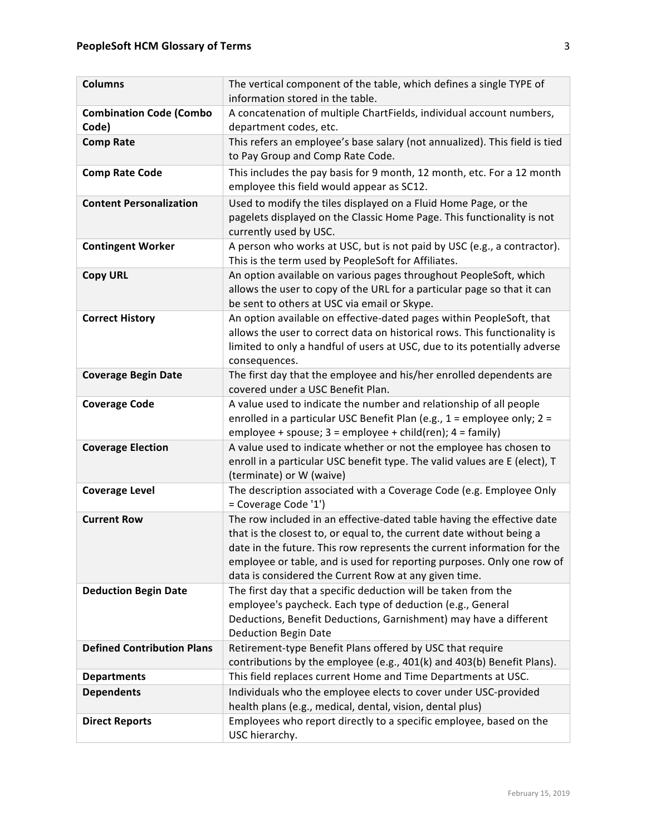| <b>Columns</b>                          | The vertical component of the table, which defines a single TYPE of<br>information stored in the table.                                                                                                                                                                                                                                                       |
|-----------------------------------------|---------------------------------------------------------------------------------------------------------------------------------------------------------------------------------------------------------------------------------------------------------------------------------------------------------------------------------------------------------------|
| <b>Combination Code (Combo</b><br>Code) | A concatenation of multiple ChartFields, individual account numbers,<br>department codes, etc.                                                                                                                                                                                                                                                                |
| <b>Comp Rate</b>                        | This refers an employee's base salary (not annualized). This field is tied<br>to Pay Group and Comp Rate Code.                                                                                                                                                                                                                                                |
| <b>Comp Rate Code</b>                   | This includes the pay basis for 9 month, 12 month, etc. For a 12 month<br>employee this field would appear as SC12.                                                                                                                                                                                                                                           |
| <b>Content Personalization</b>          | Used to modify the tiles displayed on a Fluid Home Page, or the<br>pagelets displayed on the Classic Home Page. This functionality is not<br>currently used by USC.                                                                                                                                                                                           |
| <b>Contingent Worker</b>                | A person who works at USC, but is not paid by USC (e.g., a contractor).<br>This is the term used by PeopleSoft for Affiliates.                                                                                                                                                                                                                                |
| <b>Copy URL</b>                         | An option available on various pages throughout PeopleSoft, which<br>allows the user to copy of the URL for a particular page so that it can<br>be sent to others at USC via email or Skype.                                                                                                                                                                  |
| <b>Correct History</b>                  | An option available on effective-dated pages within PeopleSoft, that<br>allows the user to correct data on historical rows. This functionality is<br>limited to only a handful of users at USC, due to its potentially adverse<br>consequences.                                                                                                               |
| <b>Coverage Begin Date</b>              | The first day that the employee and his/her enrolled dependents are<br>covered under a USC Benefit Plan.                                                                                                                                                                                                                                                      |
| <b>Coverage Code</b>                    | A value used to indicate the number and relationship of all people<br>enrolled in a particular USC Benefit Plan (e.g., 1 = employee only; 2 =<br>employee + spouse; $3 =$ employee + child(ren); $4 =$ family)                                                                                                                                                |
| <b>Coverage Election</b>                | A value used to indicate whether or not the employee has chosen to<br>enroll in a particular USC benefit type. The valid values are E (elect), T<br>(terminate) or W (waive)                                                                                                                                                                                  |
| <b>Coverage Level</b>                   | The description associated with a Coverage Code (e.g. Employee Only<br>= Coverage Code '1')                                                                                                                                                                                                                                                                   |
| <b>Current Row</b>                      | The row included in an effective-dated table having the effective date<br>that is the closest to, or equal to, the current date without being a<br>date in the future. This row represents the current information for the<br>employee or table, and is used for reporting purposes. Only one row of<br>data is considered the Current Row at any given time. |
| <b>Deduction Begin Date</b>             | The first day that a specific deduction will be taken from the<br>employee's paycheck. Each type of deduction (e.g., General<br>Deductions, Benefit Deductions, Garnishment) may have a different<br><b>Deduction Begin Date</b>                                                                                                                              |
| <b>Defined Contribution Plans</b>       | Retirement-type Benefit Plans offered by USC that require<br>contributions by the employee (e.g., 401(k) and 403(b) Benefit Plans).                                                                                                                                                                                                                           |
| <b>Departments</b>                      | This field replaces current Home and Time Departments at USC.                                                                                                                                                                                                                                                                                                 |
| <b>Dependents</b>                       | Individuals who the employee elects to cover under USC-provided<br>health plans (e.g., medical, dental, vision, dental plus)                                                                                                                                                                                                                                  |
| <b>Direct Reports</b>                   | Employees who report directly to a specific employee, based on the<br>USC hierarchy.                                                                                                                                                                                                                                                                          |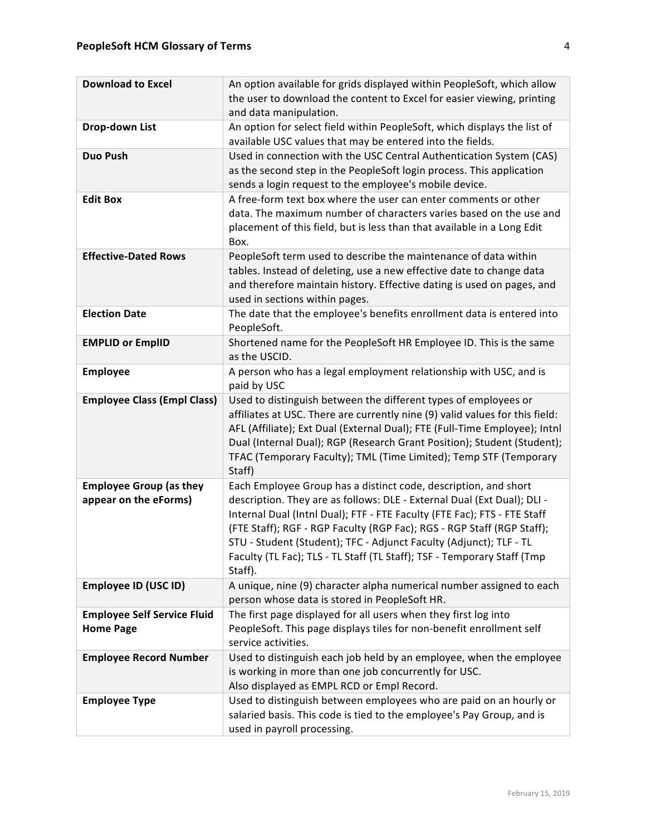| <b>Download to Excel</b>                                | An option available for grids displayed within PeopleSoft, which allow<br>the user to download the content to Excel for easier viewing, printing<br>and data manipulation.                                                                                                                                                                                                                                                                                   |
|---------------------------------------------------------|--------------------------------------------------------------------------------------------------------------------------------------------------------------------------------------------------------------------------------------------------------------------------------------------------------------------------------------------------------------------------------------------------------------------------------------------------------------|
| Drop-down List                                          | An option for select field within PeopleSoft, which displays the list of<br>available USC values that may be entered into the fields.                                                                                                                                                                                                                                                                                                                        |
| <b>Duo Push</b>                                         | Used in connection with the USC Central Authentication System (CAS)<br>as the second step in the PeopleSoft login process. This application<br>sends a login request to the employee's mobile device.                                                                                                                                                                                                                                                        |
| <b>Edit Box</b>                                         | A free-form text box where the user can enter comments or other<br>data. The maximum number of characters varies based on the use and<br>placement of this field, but is less than that available in a Long Edit<br>Box.                                                                                                                                                                                                                                     |
| <b>Effective-Dated Rows</b>                             | PeopleSoft term used to describe the maintenance of data within<br>tables. Instead of deleting, use a new effective date to change data<br>and therefore maintain history. Effective dating is used on pages, and<br>used in sections within pages.                                                                                                                                                                                                          |
| <b>Election Date</b>                                    | The date that the employee's benefits enrollment data is entered into<br>PeopleSoft.                                                                                                                                                                                                                                                                                                                                                                         |
| <b>EMPLID or EmplID</b>                                 | Shortened name for the PeopleSoft HR Employee ID. This is the same<br>as the USCID.                                                                                                                                                                                                                                                                                                                                                                          |
| <b>Employee</b>                                         | A person who has a legal employment relationship with USC, and is<br>paid by USC                                                                                                                                                                                                                                                                                                                                                                             |
| <b>Employee Class (Empl Class)</b>                      | Used to distinguish between the different types of employees or<br>affiliates at USC. There are currently nine (9) valid values for this field:<br>AFL (Affiliate); Ext Dual (External Dual); FTE (Full-Time Employee); Intnl<br>Dual (Internal Dual); RGP (Research Grant Position); Student (Student);<br>TFAC (Temporary Faculty); TML (Time Limited); Temp STF (Temporary<br>Staff)                                                                      |
| <b>Employee Group (as they</b><br>appear on the eForms) | Each Employee Group has a distinct code, description, and short<br>description. They are as follows: DLE - External Dual (Ext Dual); DLI -<br>Internal Dual (Intnl Dual); FTF - FTE Faculty (FTE Fac); FTS - FTE Staff<br>(FTE Staff); RGF - RGP Faculty (RGP Fac); RGS - RGP Staff (RGP Staff);<br>STU - Student (Student); TFC - Adjunct Faculty (Adjunct); TLF - TL<br>Faculty (TL Fac); TLS - TL Staff (TL Staff); TSF - Temporary Staff (Tmp<br>Staff). |
| <b>Employee ID (USC ID)</b>                             | A unique, nine (9) character alpha numerical number assigned to each<br>person whose data is stored in PeopleSoft HR.                                                                                                                                                                                                                                                                                                                                        |
| <b>Employee Self Service Fluid</b><br><b>Home Page</b>  | The first page displayed for all users when they first log into<br>PeopleSoft. This page displays tiles for non-benefit enrollment self<br>service activities.                                                                                                                                                                                                                                                                                               |
| <b>Employee Record Number</b>                           | Used to distinguish each job held by an employee, when the employee<br>is working in more than one job concurrently for USC.<br>Also displayed as EMPL RCD or Empl Record.                                                                                                                                                                                                                                                                                   |
| <b>Employee Type</b>                                    | Used to distinguish between employees who are paid on an hourly or<br>salaried basis. This code is tied to the employee's Pay Group, and is<br>used in payroll processing.                                                                                                                                                                                                                                                                                   |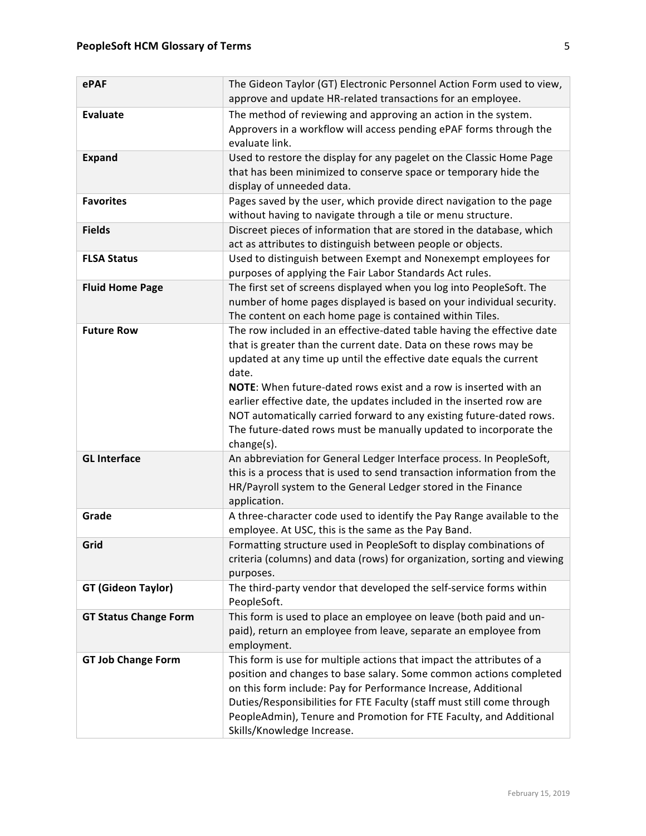| ePAF                         | The Gideon Taylor (GT) Electronic Personnel Action Form used to view,<br>approve and update HR-related transactions for an employee.                                                                                                                                                                                                                                                                                                                                                                                             |
|------------------------------|----------------------------------------------------------------------------------------------------------------------------------------------------------------------------------------------------------------------------------------------------------------------------------------------------------------------------------------------------------------------------------------------------------------------------------------------------------------------------------------------------------------------------------|
| <b>Evaluate</b>              | The method of reviewing and approving an action in the system.<br>Approvers in a workflow will access pending ePAF forms through the<br>evaluate link.                                                                                                                                                                                                                                                                                                                                                                           |
| <b>Expand</b>                | Used to restore the display for any pagelet on the Classic Home Page<br>that has been minimized to conserve space or temporary hide the<br>display of unneeded data.                                                                                                                                                                                                                                                                                                                                                             |
| <b>Favorites</b>             | Pages saved by the user, which provide direct navigation to the page<br>without having to navigate through a tile or menu structure.                                                                                                                                                                                                                                                                                                                                                                                             |
| <b>Fields</b>                | Discreet pieces of information that are stored in the database, which<br>act as attributes to distinguish between people or objects.                                                                                                                                                                                                                                                                                                                                                                                             |
| <b>FLSA Status</b>           | Used to distinguish between Exempt and Nonexempt employees for<br>purposes of applying the Fair Labor Standards Act rules.                                                                                                                                                                                                                                                                                                                                                                                                       |
| <b>Fluid Home Page</b>       | The first set of screens displayed when you log into PeopleSoft. The<br>number of home pages displayed is based on your individual security.<br>The content on each home page is contained within Tiles.                                                                                                                                                                                                                                                                                                                         |
| <b>Future Row</b>            | The row included in an effective-dated table having the effective date<br>that is greater than the current date. Data on these rows may be<br>updated at any time up until the effective date equals the current<br>date.<br>NOTE: When future-dated rows exist and a row is inserted with an<br>earlier effective date, the updates included in the inserted row are<br>NOT automatically carried forward to any existing future-dated rows.<br>The future-dated rows must be manually updated to incorporate the<br>change(s). |
| <b>GL Interface</b>          | An abbreviation for General Ledger Interface process. In PeopleSoft,<br>this is a process that is used to send transaction information from the<br>HR/Payroll system to the General Ledger stored in the Finance<br>application.                                                                                                                                                                                                                                                                                                 |
| Grade                        | A three-character code used to identify the Pay Range available to the<br>employee. At USC, this is the same as the Pay Band.                                                                                                                                                                                                                                                                                                                                                                                                    |
| Grid                         | Formatting structure used in PeopleSoft to display combinations of<br>criteria (columns) and data (rows) for organization, sorting and viewing<br>purposes.                                                                                                                                                                                                                                                                                                                                                                      |
| <b>GT (Gideon Taylor)</b>    | The third-party vendor that developed the self-service forms within<br>PeopleSoft.                                                                                                                                                                                                                                                                                                                                                                                                                                               |
| <b>GT Status Change Form</b> | This form is used to place an employee on leave (both paid and un-<br>paid), return an employee from leave, separate an employee from<br>employment.                                                                                                                                                                                                                                                                                                                                                                             |
| <b>GT Job Change Form</b>    | This form is use for multiple actions that impact the attributes of a<br>position and changes to base salary. Some common actions completed<br>on this form include: Pay for Performance Increase, Additional<br>Duties/Responsibilities for FTE Faculty (staff must still come through<br>PeopleAdmin), Tenure and Promotion for FTE Faculty, and Additional<br>Skills/Knowledge Increase.                                                                                                                                      |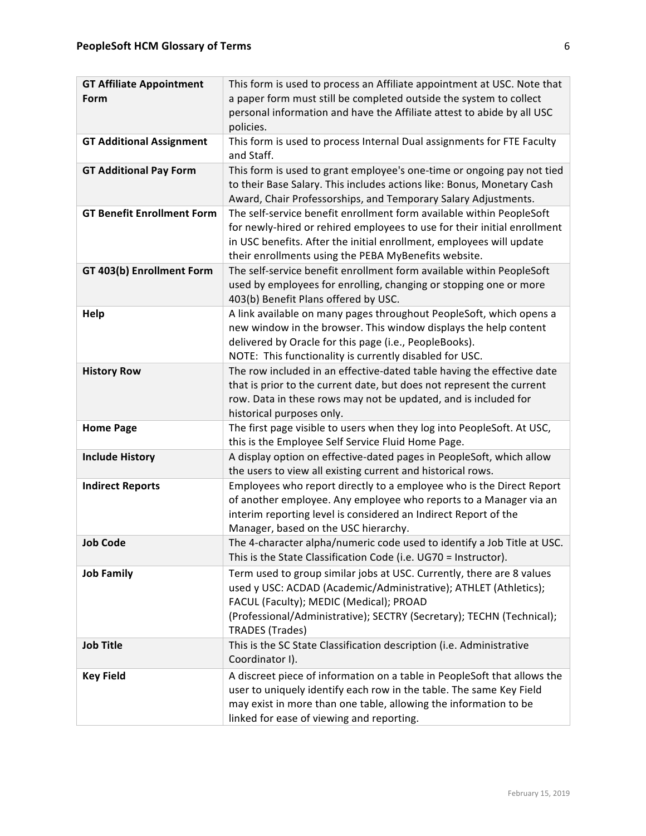| personal information and have the Affiliate attest to abide by all USC<br>policies.<br><b>GT Additional Assignment</b><br>This form is used to process Internal Dual assignments for FTE Faculty<br>and Staff.<br><b>GT Additional Pay Form</b><br>This form is used to grant employee's one-time or ongoing pay not tied<br>to their Base Salary. This includes actions like: Bonus, Monetary Cash<br>Award, Chair Professorships, and Temporary Salary Adjustments.<br><b>GT Benefit Enrollment Form</b><br>The self-service benefit enrollment form available within PeopleSoft<br>for newly-hired or rehired employees to use for their initial enrollment<br>in USC benefits. After the initial enrollment, employees will update<br>their enrollments using the PEBA MyBenefits website.<br>The self-service benefit enrollment form available within PeopleSoft<br>GT 403(b) Enrollment Form<br>used by employees for enrolling, changing or stopping one or more<br>403(b) Benefit Plans offered by USC.<br>A link available on many pages throughout PeopleSoft, which opens a<br>Help<br>new window in the browser. This window displays the help content<br>delivered by Oracle for this page (i.e., PeopleBooks).<br>NOTE: This functionality is currently disabled for USC.<br>The row included in an effective-dated table having the effective date<br><b>History Row</b><br>that is prior to the current date, but does not represent the current<br>row. Data in these rows may not be updated, and is included for<br>historical purposes only.<br>The first page visible to users when they log into PeopleSoft. At USC,<br><b>Home Page</b><br>this is the Employee Self Service Fluid Home Page.<br><b>Include History</b><br>A display option on effective-dated pages in PeopleSoft, which allow<br>the users to view all existing current and historical rows.<br>Employees who report directly to a employee who is the Direct Report<br><b>Indirect Reports</b><br>of another employee. Any employee who reports to a Manager via an<br>interim reporting level is considered an Indirect Report of the<br>Manager, based on the USC hierarchy.<br><b>Job Code</b><br>The 4-character alpha/numeric code used to identify a Job Title at USC.<br>This is the State Classification Code (i.e. UG70 = Instructor).<br>Term used to group similar jobs at USC. Currently, there are 8 values<br><b>Job Family</b><br>used y USC: ACDAD (Academic/Administrative); ATHLET (Athletics);<br>FACUL (Faculty); MEDIC (Medical); PROAD<br>(Professional/Administrative); SECTRY (Secretary); TECHN (Technical);<br><b>TRADES</b> (Trades) | <b>GT Affiliate Appointment</b> | This form is used to process an Affiliate appointment at USC. Note that |
|------------------------------------------------------------------------------------------------------------------------------------------------------------------------------------------------------------------------------------------------------------------------------------------------------------------------------------------------------------------------------------------------------------------------------------------------------------------------------------------------------------------------------------------------------------------------------------------------------------------------------------------------------------------------------------------------------------------------------------------------------------------------------------------------------------------------------------------------------------------------------------------------------------------------------------------------------------------------------------------------------------------------------------------------------------------------------------------------------------------------------------------------------------------------------------------------------------------------------------------------------------------------------------------------------------------------------------------------------------------------------------------------------------------------------------------------------------------------------------------------------------------------------------------------------------------------------------------------------------------------------------------------------------------------------------------------------------------------------------------------------------------------------------------------------------------------------------------------------------------------------------------------------------------------------------------------------------------------------------------------------------------------------------------------------------------------------------------------------------------------------------------------------------------------------------------------------------------------------------------------------------------------------------------------------------------------------------------------------------------------------------------------------------------------------------------------------------------------------------------------------------------------------------------------------------------------------------------------------------------------------------------------------------|---------------------------------|-------------------------------------------------------------------------|
|                                                                                                                                                                                                                                                                                                                                                                                                                                                                                                                                                                                                                                                                                                                                                                                                                                                                                                                                                                                                                                                                                                                                                                                                                                                                                                                                                                                                                                                                                                                                                                                                                                                                                                                                                                                                                                                                                                                                                                                                                                                                                                                                                                                                                                                                                                                                                                                                                                                                                                                                                                                                                                                            | Form                            | a paper form must still be completed outside the system to collect      |
|                                                                                                                                                                                                                                                                                                                                                                                                                                                                                                                                                                                                                                                                                                                                                                                                                                                                                                                                                                                                                                                                                                                                                                                                                                                                                                                                                                                                                                                                                                                                                                                                                                                                                                                                                                                                                                                                                                                                                                                                                                                                                                                                                                                                                                                                                                                                                                                                                                                                                                                                                                                                                                                            |                                 |                                                                         |
|                                                                                                                                                                                                                                                                                                                                                                                                                                                                                                                                                                                                                                                                                                                                                                                                                                                                                                                                                                                                                                                                                                                                                                                                                                                                                                                                                                                                                                                                                                                                                                                                                                                                                                                                                                                                                                                                                                                                                                                                                                                                                                                                                                                                                                                                                                                                                                                                                                                                                                                                                                                                                                                            |                                 |                                                                         |
|                                                                                                                                                                                                                                                                                                                                                                                                                                                                                                                                                                                                                                                                                                                                                                                                                                                                                                                                                                                                                                                                                                                                                                                                                                                                                                                                                                                                                                                                                                                                                                                                                                                                                                                                                                                                                                                                                                                                                                                                                                                                                                                                                                                                                                                                                                                                                                                                                                                                                                                                                                                                                                                            |                                 |                                                                         |
|                                                                                                                                                                                                                                                                                                                                                                                                                                                                                                                                                                                                                                                                                                                                                                                                                                                                                                                                                                                                                                                                                                                                                                                                                                                                                                                                                                                                                                                                                                                                                                                                                                                                                                                                                                                                                                                                                                                                                                                                                                                                                                                                                                                                                                                                                                                                                                                                                                                                                                                                                                                                                                                            |                                 |                                                                         |
|                                                                                                                                                                                                                                                                                                                                                                                                                                                                                                                                                                                                                                                                                                                                                                                                                                                                                                                                                                                                                                                                                                                                                                                                                                                                                                                                                                                                                                                                                                                                                                                                                                                                                                                                                                                                                                                                                                                                                                                                                                                                                                                                                                                                                                                                                                                                                                                                                                                                                                                                                                                                                                                            |                                 |                                                                         |
|                                                                                                                                                                                                                                                                                                                                                                                                                                                                                                                                                                                                                                                                                                                                                                                                                                                                                                                                                                                                                                                                                                                                                                                                                                                                                                                                                                                                                                                                                                                                                                                                                                                                                                                                                                                                                                                                                                                                                                                                                                                                                                                                                                                                                                                                                                                                                                                                                                                                                                                                                                                                                                                            |                                 |                                                                         |
|                                                                                                                                                                                                                                                                                                                                                                                                                                                                                                                                                                                                                                                                                                                                                                                                                                                                                                                                                                                                                                                                                                                                                                                                                                                                                                                                                                                                                                                                                                                                                                                                                                                                                                                                                                                                                                                                                                                                                                                                                                                                                                                                                                                                                                                                                                                                                                                                                                                                                                                                                                                                                                                            |                                 |                                                                         |
|                                                                                                                                                                                                                                                                                                                                                                                                                                                                                                                                                                                                                                                                                                                                                                                                                                                                                                                                                                                                                                                                                                                                                                                                                                                                                                                                                                                                                                                                                                                                                                                                                                                                                                                                                                                                                                                                                                                                                                                                                                                                                                                                                                                                                                                                                                                                                                                                                                                                                                                                                                                                                                                            |                                 |                                                                         |
|                                                                                                                                                                                                                                                                                                                                                                                                                                                                                                                                                                                                                                                                                                                                                                                                                                                                                                                                                                                                                                                                                                                                                                                                                                                                                                                                                                                                                                                                                                                                                                                                                                                                                                                                                                                                                                                                                                                                                                                                                                                                                                                                                                                                                                                                                                                                                                                                                                                                                                                                                                                                                                                            |                                 |                                                                         |
|                                                                                                                                                                                                                                                                                                                                                                                                                                                                                                                                                                                                                                                                                                                                                                                                                                                                                                                                                                                                                                                                                                                                                                                                                                                                                                                                                                                                                                                                                                                                                                                                                                                                                                                                                                                                                                                                                                                                                                                                                                                                                                                                                                                                                                                                                                                                                                                                                                                                                                                                                                                                                                                            |                                 |                                                                         |
|                                                                                                                                                                                                                                                                                                                                                                                                                                                                                                                                                                                                                                                                                                                                                                                                                                                                                                                                                                                                                                                                                                                                                                                                                                                                                                                                                                                                                                                                                                                                                                                                                                                                                                                                                                                                                                                                                                                                                                                                                                                                                                                                                                                                                                                                                                                                                                                                                                                                                                                                                                                                                                                            |                                 |                                                                         |
|                                                                                                                                                                                                                                                                                                                                                                                                                                                                                                                                                                                                                                                                                                                                                                                                                                                                                                                                                                                                                                                                                                                                                                                                                                                                                                                                                                                                                                                                                                                                                                                                                                                                                                                                                                                                                                                                                                                                                                                                                                                                                                                                                                                                                                                                                                                                                                                                                                                                                                                                                                                                                                                            |                                 |                                                                         |
|                                                                                                                                                                                                                                                                                                                                                                                                                                                                                                                                                                                                                                                                                                                                                                                                                                                                                                                                                                                                                                                                                                                                                                                                                                                                                                                                                                                                                                                                                                                                                                                                                                                                                                                                                                                                                                                                                                                                                                                                                                                                                                                                                                                                                                                                                                                                                                                                                                                                                                                                                                                                                                                            |                                 |                                                                         |
|                                                                                                                                                                                                                                                                                                                                                                                                                                                                                                                                                                                                                                                                                                                                                                                                                                                                                                                                                                                                                                                                                                                                                                                                                                                                                                                                                                                                                                                                                                                                                                                                                                                                                                                                                                                                                                                                                                                                                                                                                                                                                                                                                                                                                                                                                                                                                                                                                                                                                                                                                                                                                                                            |                                 |                                                                         |
|                                                                                                                                                                                                                                                                                                                                                                                                                                                                                                                                                                                                                                                                                                                                                                                                                                                                                                                                                                                                                                                                                                                                                                                                                                                                                                                                                                                                                                                                                                                                                                                                                                                                                                                                                                                                                                                                                                                                                                                                                                                                                                                                                                                                                                                                                                                                                                                                                                                                                                                                                                                                                                                            |                                 |                                                                         |
|                                                                                                                                                                                                                                                                                                                                                                                                                                                                                                                                                                                                                                                                                                                                                                                                                                                                                                                                                                                                                                                                                                                                                                                                                                                                                                                                                                                                                                                                                                                                                                                                                                                                                                                                                                                                                                                                                                                                                                                                                                                                                                                                                                                                                                                                                                                                                                                                                                                                                                                                                                                                                                                            |                                 |                                                                         |
|                                                                                                                                                                                                                                                                                                                                                                                                                                                                                                                                                                                                                                                                                                                                                                                                                                                                                                                                                                                                                                                                                                                                                                                                                                                                                                                                                                                                                                                                                                                                                                                                                                                                                                                                                                                                                                                                                                                                                                                                                                                                                                                                                                                                                                                                                                                                                                                                                                                                                                                                                                                                                                                            |                                 |                                                                         |
|                                                                                                                                                                                                                                                                                                                                                                                                                                                                                                                                                                                                                                                                                                                                                                                                                                                                                                                                                                                                                                                                                                                                                                                                                                                                                                                                                                                                                                                                                                                                                                                                                                                                                                                                                                                                                                                                                                                                                                                                                                                                                                                                                                                                                                                                                                                                                                                                                                                                                                                                                                                                                                                            |                                 |                                                                         |
|                                                                                                                                                                                                                                                                                                                                                                                                                                                                                                                                                                                                                                                                                                                                                                                                                                                                                                                                                                                                                                                                                                                                                                                                                                                                                                                                                                                                                                                                                                                                                                                                                                                                                                                                                                                                                                                                                                                                                                                                                                                                                                                                                                                                                                                                                                                                                                                                                                                                                                                                                                                                                                                            |                                 |                                                                         |
|                                                                                                                                                                                                                                                                                                                                                                                                                                                                                                                                                                                                                                                                                                                                                                                                                                                                                                                                                                                                                                                                                                                                                                                                                                                                                                                                                                                                                                                                                                                                                                                                                                                                                                                                                                                                                                                                                                                                                                                                                                                                                                                                                                                                                                                                                                                                                                                                                                                                                                                                                                                                                                                            |                                 |                                                                         |
|                                                                                                                                                                                                                                                                                                                                                                                                                                                                                                                                                                                                                                                                                                                                                                                                                                                                                                                                                                                                                                                                                                                                                                                                                                                                                                                                                                                                                                                                                                                                                                                                                                                                                                                                                                                                                                                                                                                                                                                                                                                                                                                                                                                                                                                                                                                                                                                                                                                                                                                                                                                                                                                            |                                 |                                                                         |
|                                                                                                                                                                                                                                                                                                                                                                                                                                                                                                                                                                                                                                                                                                                                                                                                                                                                                                                                                                                                                                                                                                                                                                                                                                                                                                                                                                                                                                                                                                                                                                                                                                                                                                                                                                                                                                                                                                                                                                                                                                                                                                                                                                                                                                                                                                                                                                                                                                                                                                                                                                                                                                                            |                                 |                                                                         |
|                                                                                                                                                                                                                                                                                                                                                                                                                                                                                                                                                                                                                                                                                                                                                                                                                                                                                                                                                                                                                                                                                                                                                                                                                                                                                                                                                                                                                                                                                                                                                                                                                                                                                                                                                                                                                                                                                                                                                                                                                                                                                                                                                                                                                                                                                                                                                                                                                                                                                                                                                                                                                                                            |                                 |                                                                         |
|                                                                                                                                                                                                                                                                                                                                                                                                                                                                                                                                                                                                                                                                                                                                                                                                                                                                                                                                                                                                                                                                                                                                                                                                                                                                                                                                                                                                                                                                                                                                                                                                                                                                                                                                                                                                                                                                                                                                                                                                                                                                                                                                                                                                                                                                                                                                                                                                                                                                                                                                                                                                                                                            |                                 |                                                                         |
|                                                                                                                                                                                                                                                                                                                                                                                                                                                                                                                                                                                                                                                                                                                                                                                                                                                                                                                                                                                                                                                                                                                                                                                                                                                                                                                                                                                                                                                                                                                                                                                                                                                                                                                                                                                                                                                                                                                                                                                                                                                                                                                                                                                                                                                                                                                                                                                                                                                                                                                                                                                                                                                            |                                 |                                                                         |
|                                                                                                                                                                                                                                                                                                                                                                                                                                                                                                                                                                                                                                                                                                                                                                                                                                                                                                                                                                                                                                                                                                                                                                                                                                                                                                                                                                                                                                                                                                                                                                                                                                                                                                                                                                                                                                                                                                                                                                                                                                                                                                                                                                                                                                                                                                                                                                                                                                                                                                                                                                                                                                                            |                                 |                                                                         |
|                                                                                                                                                                                                                                                                                                                                                                                                                                                                                                                                                                                                                                                                                                                                                                                                                                                                                                                                                                                                                                                                                                                                                                                                                                                                                                                                                                                                                                                                                                                                                                                                                                                                                                                                                                                                                                                                                                                                                                                                                                                                                                                                                                                                                                                                                                                                                                                                                                                                                                                                                                                                                                                            |                                 |                                                                         |
|                                                                                                                                                                                                                                                                                                                                                                                                                                                                                                                                                                                                                                                                                                                                                                                                                                                                                                                                                                                                                                                                                                                                                                                                                                                                                                                                                                                                                                                                                                                                                                                                                                                                                                                                                                                                                                                                                                                                                                                                                                                                                                                                                                                                                                                                                                                                                                                                                                                                                                                                                                                                                                                            |                                 |                                                                         |
|                                                                                                                                                                                                                                                                                                                                                                                                                                                                                                                                                                                                                                                                                                                                                                                                                                                                                                                                                                                                                                                                                                                                                                                                                                                                                                                                                                                                                                                                                                                                                                                                                                                                                                                                                                                                                                                                                                                                                                                                                                                                                                                                                                                                                                                                                                                                                                                                                                                                                                                                                                                                                                                            |                                 |                                                                         |
|                                                                                                                                                                                                                                                                                                                                                                                                                                                                                                                                                                                                                                                                                                                                                                                                                                                                                                                                                                                                                                                                                                                                                                                                                                                                                                                                                                                                                                                                                                                                                                                                                                                                                                                                                                                                                                                                                                                                                                                                                                                                                                                                                                                                                                                                                                                                                                                                                                                                                                                                                                                                                                                            |                                 |                                                                         |
|                                                                                                                                                                                                                                                                                                                                                                                                                                                                                                                                                                                                                                                                                                                                                                                                                                                                                                                                                                                                                                                                                                                                                                                                                                                                                                                                                                                                                                                                                                                                                                                                                                                                                                                                                                                                                                                                                                                                                                                                                                                                                                                                                                                                                                                                                                                                                                                                                                                                                                                                                                                                                                                            |                                 |                                                                         |
|                                                                                                                                                                                                                                                                                                                                                                                                                                                                                                                                                                                                                                                                                                                                                                                                                                                                                                                                                                                                                                                                                                                                                                                                                                                                                                                                                                                                                                                                                                                                                                                                                                                                                                                                                                                                                                                                                                                                                                                                                                                                                                                                                                                                                                                                                                                                                                                                                                                                                                                                                                                                                                                            |                                 |                                                                         |
|                                                                                                                                                                                                                                                                                                                                                                                                                                                                                                                                                                                                                                                                                                                                                                                                                                                                                                                                                                                                                                                                                                                                                                                                                                                                                                                                                                                                                                                                                                                                                                                                                                                                                                                                                                                                                                                                                                                                                                                                                                                                                                                                                                                                                                                                                                                                                                                                                                                                                                                                                                                                                                                            |                                 |                                                                         |
| <b>Job Title</b><br>This is the SC State Classification description (i.e. Administrative                                                                                                                                                                                                                                                                                                                                                                                                                                                                                                                                                                                                                                                                                                                                                                                                                                                                                                                                                                                                                                                                                                                                                                                                                                                                                                                                                                                                                                                                                                                                                                                                                                                                                                                                                                                                                                                                                                                                                                                                                                                                                                                                                                                                                                                                                                                                                                                                                                                                                                                                                                   |                                 |                                                                         |
| Coordinator I).                                                                                                                                                                                                                                                                                                                                                                                                                                                                                                                                                                                                                                                                                                                                                                                                                                                                                                                                                                                                                                                                                                                                                                                                                                                                                                                                                                                                                                                                                                                                                                                                                                                                                                                                                                                                                                                                                                                                                                                                                                                                                                                                                                                                                                                                                                                                                                                                                                                                                                                                                                                                                                            |                                 |                                                                         |
| A discreet piece of information on a table in PeopleSoft that allows the<br><b>Key Field</b>                                                                                                                                                                                                                                                                                                                                                                                                                                                                                                                                                                                                                                                                                                                                                                                                                                                                                                                                                                                                                                                                                                                                                                                                                                                                                                                                                                                                                                                                                                                                                                                                                                                                                                                                                                                                                                                                                                                                                                                                                                                                                                                                                                                                                                                                                                                                                                                                                                                                                                                                                               |                                 |                                                                         |
| user to uniquely identify each row in the table. The same Key Field                                                                                                                                                                                                                                                                                                                                                                                                                                                                                                                                                                                                                                                                                                                                                                                                                                                                                                                                                                                                                                                                                                                                                                                                                                                                                                                                                                                                                                                                                                                                                                                                                                                                                                                                                                                                                                                                                                                                                                                                                                                                                                                                                                                                                                                                                                                                                                                                                                                                                                                                                                                        |                                 |                                                                         |
| may exist in more than one table, allowing the information to be                                                                                                                                                                                                                                                                                                                                                                                                                                                                                                                                                                                                                                                                                                                                                                                                                                                                                                                                                                                                                                                                                                                                                                                                                                                                                                                                                                                                                                                                                                                                                                                                                                                                                                                                                                                                                                                                                                                                                                                                                                                                                                                                                                                                                                                                                                                                                                                                                                                                                                                                                                                           |                                 |                                                                         |
| linked for ease of viewing and reporting.                                                                                                                                                                                                                                                                                                                                                                                                                                                                                                                                                                                                                                                                                                                                                                                                                                                                                                                                                                                                                                                                                                                                                                                                                                                                                                                                                                                                                                                                                                                                                                                                                                                                                                                                                                                                                                                                                                                                                                                                                                                                                                                                                                                                                                                                                                                                                                                                                                                                                                                                                                                                                  |                                 |                                                                         |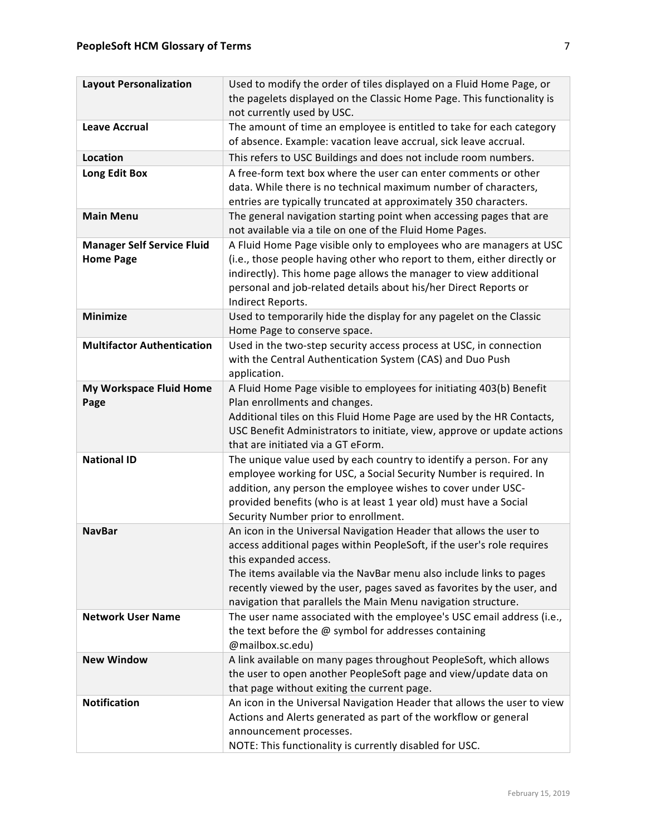| <b>Layout Personalization</b>                         | Used to modify the order of tiles displayed on a Fluid Home Page, or<br>the pagelets displayed on the Classic Home Page. This functionality is<br>not currently used by USC.                                                                                                                                                                                                            |
|-------------------------------------------------------|-----------------------------------------------------------------------------------------------------------------------------------------------------------------------------------------------------------------------------------------------------------------------------------------------------------------------------------------------------------------------------------------|
| <b>Leave Accrual</b>                                  | The amount of time an employee is entitled to take for each category<br>of absence. Example: vacation leave accrual, sick leave accrual.                                                                                                                                                                                                                                                |
| <b>Location</b>                                       | This refers to USC Buildings and does not include room numbers.                                                                                                                                                                                                                                                                                                                         |
| Long Edit Box                                         | A free-form text box where the user can enter comments or other<br>data. While there is no technical maximum number of characters,<br>entries are typically truncated at approximately 350 characters.                                                                                                                                                                                  |
| <b>Main Menu</b>                                      | The general navigation starting point when accessing pages that are<br>not available via a tile on one of the Fluid Home Pages.                                                                                                                                                                                                                                                         |
| <b>Manager Self Service Fluid</b><br><b>Home Page</b> | A Fluid Home Page visible only to employees who are managers at USC<br>(i.e., those people having other who report to them, either directly or<br>indirectly). This home page allows the manager to view additional<br>personal and job-related details about his/her Direct Reports or<br>Indirect Reports.                                                                            |
| <b>Minimize</b>                                       | Used to temporarily hide the display for any pagelet on the Classic<br>Home Page to conserve space.                                                                                                                                                                                                                                                                                     |
| <b>Multifactor Authentication</b>                     | Used in the two-step security access process at USC, in connection<br>with the Central Authentication System (CAS) and Duo Push<br>application.                                                                                                                                                                                                                                         |
| My Workspace Fluid Home<br>Page                       | A Fluid Home Page visible to employees for initiating 403(b) Benefit<br>Plan enrollments and changes.<br>Additional tiles on this Fluid Home Page are used by the HR Contacts,<br>USC Benefit Administrators to initiate, view, approve or update actions<br>that are initiated via a GT eForm.                                                                                         |
| <b>National ID</b>                                    | The unique value used by each country to identify a person. For any<br>employee working for USC, a Social Security Number is required. In<br>addition, any person the employee wishes to cover under USC-<br>provided benefits (who is at least 1 year old) must have a Social<br>Security Number prior to enrollment.                                                                  |
| <b>NavBar</b>                                         | An icon in the Universal Navigation Header that allows the user to<br>access additional pages within PeopleSoft, if the user's role requires<br>this expanded access.<br>The items available via the NavBar menu also include links to pages<br>recently viewed by the user, pages saved as favorites by the user, and<br>navigation that parallels the Main Menu navigation structure. |
| <b>Network User Name</b>                              | The user name associated with the employee's USC email address (i.e.,<br>the text before the $@$ symbol for addresses containing<br>@mailbox.sc.edu)                                                                                                                                                                                                                                    |
| <b>New Window</b>                                     | A link available on many pages throughout PeopleSoft, which allows<br>the user to open another PeopleSoft page and view/update data on<br>that page without exiting the current page.                                                                                                                                                                                                   |
| <b>Notification</b>                                   | An icon in the Universal Navigation Header that allows the user to view<br>Actions and Alerts generated as part of the workflow or general<br>announcement processes.<br>NOTE: This functionality is currently disabled for USC.                                                                                                                                                        |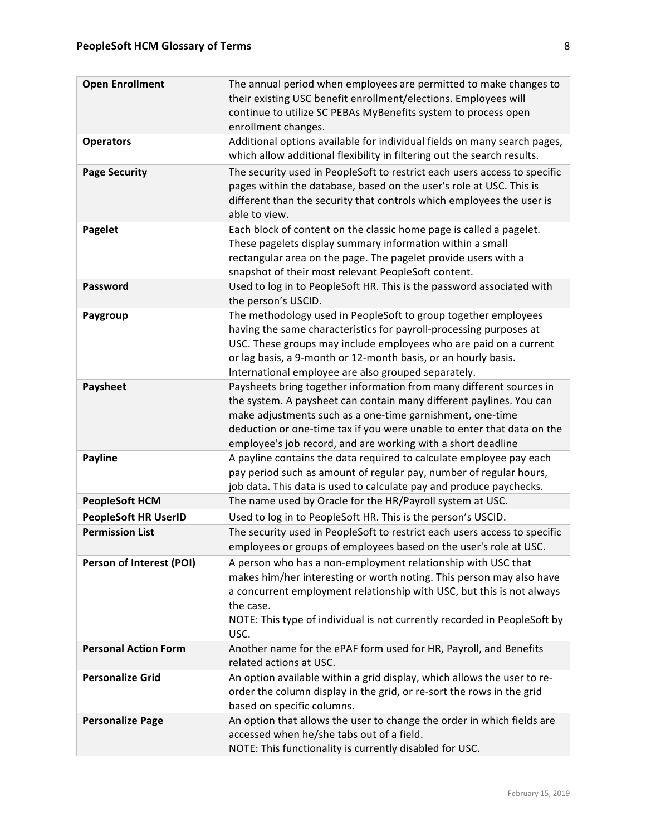| <b>Open Enrollment</b>      | The annual period when employees are permitted to make changes to<br>their existing USC benefit enrollment/elections. Employees will<br>continue to utilize SC PEBAs MyBenefits system to process open<br>enrollment changes.                                                                                                                     |
|-----------------------------|---------------------------------------------------------------------------------------------------------------------------------------------------------------------------------------------------------------------------------------------------------------------------------------------------------------------------------------------------|
| <b>Operators</b>            | Additional options available for individual fields on many search pages,<br>which allow additional flexibility in filtering out the search results.                                                                                                                                                                                               |
| <b>Page Security</b>        | The security used in PeopleSoft to restrict each users access to specific<br>pages within the database, based on the user's role at USC. This is<br>different than the security that controls which employees the user is<br>able to view.                                                                                                        |
| Pagelet                     | Each block of content on the classic home page is called a pagelet.<br>These pagelets display summary information within a small<br>rectangular area on the page. The pagelet provide users with a<br>snapshot of their most relevant PeopleSoft content.                                                                                         |
| <b>Password</b>             | Used to log in to PeopleSoft HR. This is the password associated with<br>the person's USCID.                                                                                                                                                                                                                                                      |
| Paygroup                    | The methodology used in PeopleSoft to group together employees<br>having the same characteristics for payroll-processing purposes at<br>USC. These groups may include employees who are paid on a current<br>or lag basis, a 9-month or 12-month basis, or an hourly basis.<br>International employee are also grouped separately.                |
| <b>Paysheet</b>             | Paysheets bring together information from many different sources in<br>the system. A paysheet can contain many different paylines. You can<br>make adjustments such as a one-time garnishment, one-time<br>deduction or one-time tax if you were unable to enter that data on the<br>employee's job record, and are working with a short deadline |
| <b>Payline</b>              | A payline contains the data required to calculate employee pay each<br>pay period such as amount of regular pay, number of regular hours,<br>job data. This data is used to calculate pay and produce paychecks.                                                                                                                                  |
| <b>PeopleSoft HCM</b>       | The name used by Oracle for the HR/Payroll system at USC.                                                                                                                                                                                                                                                                                         |
| <b>PeopleSoft HR UserID</b> | Used to log in to PeopleSoft HR. This is the person's USCID.                                                                                                                                                                                                                                                                                      |
| <b>Permission List</b>      | The security used in PeopleSoft to restrict each users access to specific<br>employees or groups of employees based on the user's role at USC.                                                                                                                                                                                                    |
| Person of Interest (POI)    | A person who has a non-employment relationship with USC that<br>makes him/her interesting or worth noting. This person may also have<br>a concurrent employment relationship with USC, but this is not always<br>the case.<br>NOTE: This type of individual is not currently recorded in PeopleSoft by<br>USC.                                    |
| <b>Personal Action Form</b> | Another name for the ePAF form used for HR, Payroll, and Benefits<br>related actions at USC.                                                                                                                                                                                                                                                      |
| <b>Personalize Grid</b>     | An option available within a grid display, which allows the user to re-<br>order the column display in the grid, or re-sort the rows in the grid<br>based on specific columns.                                                                                                                                                                    |
| <b>Personalize Page</b>     | An option that allows the user to change the order in which fields are<br>accessed when he/she tabs out of a field.<br>NOTE: This functionality is currently disabled for USC.                                                                                                                                                                    |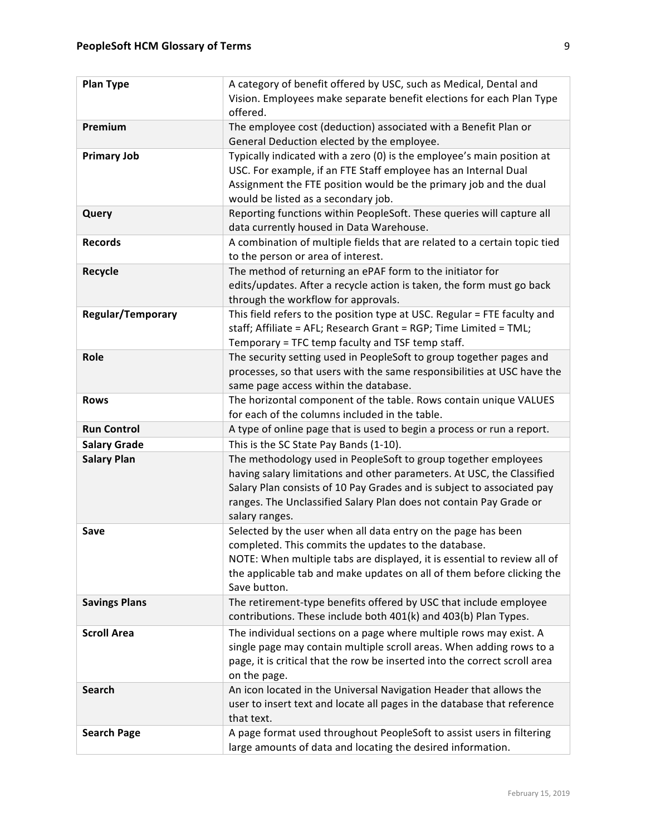| <b>Plan Type</b>         | A category of benefit offered by USC, such as Medical, Dental and          |
|--------------------------|----------------------------------------------------------------------------|
|                          | Vision. Employees make separate benefit elections for each Plan Type       |
|                          | offered.                                                                   |
| Premium                  | The employee cost (deduction) associated with a Benefit Plan or            |
|                          | General Deduction elected by the employee.                                 |
| <b>Primary Job</b>       | Typically indicated with a zero (0) is the employee's main position at     |
|                          | USC. For example, if an FTE Staff employee has an Internal Dual            |
|                          | Assignment the FTE position would be the primary job and the dual          |
|                          | would be listed as a secondary job.                                        |
| Query                    | Reporting functions within PeopleSoft. These queries will capture all      |
|                          | data currently housed in Data Warehouse.                                   |
| <b>Records</b>           | A combination of multiple fields that are related to a certain topic tied  |
|                          | to the person or area of interest.                                         |
| Recycle                  | The method of returning an ePAF form to the initiator for                  |
|                          | edits/updates. After a recycle action is taken, the form must go back      |
|                          | through the workflow for approvals.                                        |
| <b>Regular/Temporary</b> | This field refers to the position type at USC. Regular = FTE faculty and   |
|                          | staff; Affiliate = AFL; Research Grant = RGP; Time Limited = TML;          |
|                          | Temporary = TFC temp faculty and TSF temp staff.                           |
| Role                     | The security setting used in PeopleSoft to group together pages and        |
|                          | processes, so that users with the same responsibilities at USC have the    |
|                          | same page access within the database.                                      |
| <b>Rows</b>              | The horizontal component of the table. Rows contain unique VALUES          |
|                          | for each of the columns included in the table.                             |
| <b>Run Control</b>       | A type of online page that is used to begin a process or run a report.     |
| <b>Salary Grade</b>      | This is the SC State Pay Bands (1-10).                                     |
| <b>Salary Plan</b>       | The methodology used in PeopleSoft to group together employees             |
|                          | having salary limitations and other parameters. At USC, the Classified     |
|                          | Salary Plan consists of 10 Pay Grades and is subject to associated pay     |
|                          | ranges. The Unclassified Salary Plan does not contain Pay Grade or         |
|                          | salary ranges.                                                             |
| Save                     | Selected by the user when all data entry on the page has been              |
|                          | completed. This commits the updates to the database.                       |
|                          | NOTE: When multiple tabs are displayed, it is essential to review all of   |
|                          | the applicable tab and make updates on all of them before clicking the     |
|                          | Save button.                                                               |
| <b>Savings Plans</b>     | The retirement-type benefits offered by USC that include employee          |
|                          | contributions. These include both 401(k) and 403(b) Plan Types.            |
| <b>Scroll Area</b>       | The individual sections on a page where multiple rows may exist. A         |
|                          | single page may contain multiple scroll areas. When adding rows to a       |
|                          | page, it is critical that the row be inserted into the correct scroll area |
|                          | on the page.                                                               |
| <b>Search</b>            | An icon located in the Universal Navigation Header that allows the         |
|                          | user to insert text and locate all pages in the database that reference    |
|                          | that text.                                                                 |
| <b>Search Page</b>       | A page format used throughout PeopleSoft to assist users in filtering      |
|                          | large amounts of data and locating the desired information.                |
|                          |                                                                            |